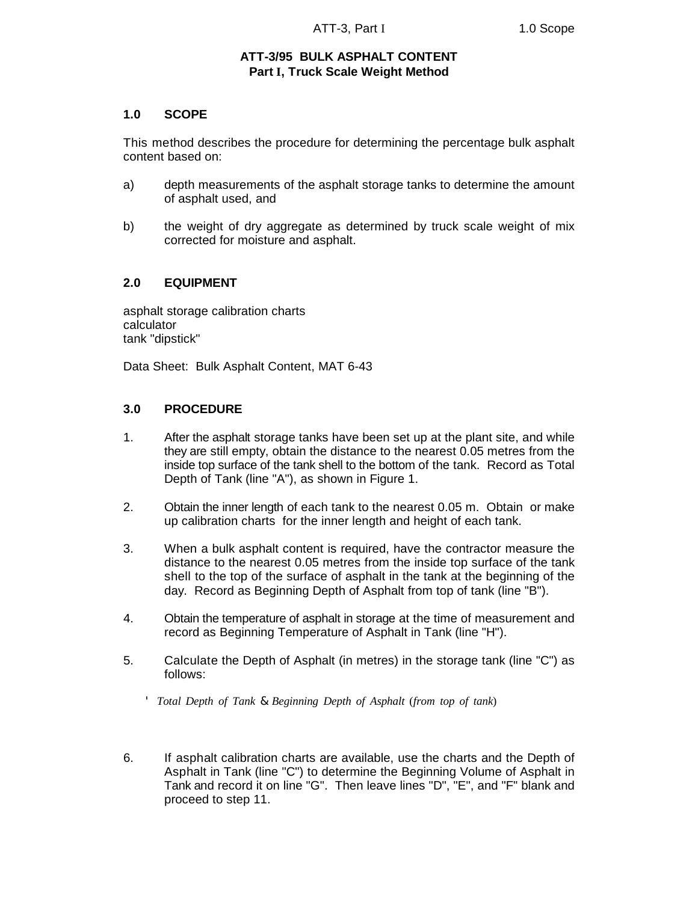## **ATT-3/95 BULK ASPHALT CONTENT Part I, Truck Scale Weight Method**

### **1.0 SCOPE**

This method describes the procedure for determining the percentage bulk asphalt content based on:

- a) depth measurements of the asphalt storage tanks to determine the amount of asphalt used, and
- b) the weight of dry aggregate as determined by truck scale weight of mix corrected for moisture and asphalt.

### **2.0 EQUIPMENT**

asphalt storage calibration charts calculator tank "dipstick"

Data Sheet: Bulk Asphalt Content, MAT 6-43

### **3.0 PROCEDURE**

'

- 1. After the asphalt storage tanks have been set up at the plant site, and while they are still empty, obtain the distance to the nearest 0.05 metres from the inside top surface of the tank shell to the bottom of the tank. Record as Total Depth of Tank (line "A"), as shown in Figure 1.
- 2. Obtain the inner length of each tank to the nearest 0.05 m. Obtain or make up calibration charts for the inner length and height of each tank.
- 3. When a bulk asphalt content is required, have the contractor measure the distance to the nearest 0.05 metres from the inside top surface of the tank shell to the top of the surface of asphalt in the tank at the beginning of the day. Record as Beginning Depth of Asphalt from top of tank (line "B").
- 4. Obtain the temperature of asphalt in storage at the time of measurement and record as Beginning Temperature of Asphalt in Tank (line "H").
- 5. Calculate the Depth of Asphalt (in metres) in the storage tank (line "C") as follows:

*Total Depth of Tank* & *Beginning Depth of Asphalt* (*from top of tank*)

6. If asphalt calibration charts are available, use the charts and the Depth of Asphalt in Tank (line "C") to determine the Beginning Volume of Asphalt in Tank and record it on line "G". Then leave lines "D", "E", and "F" blank and proceed to step 11.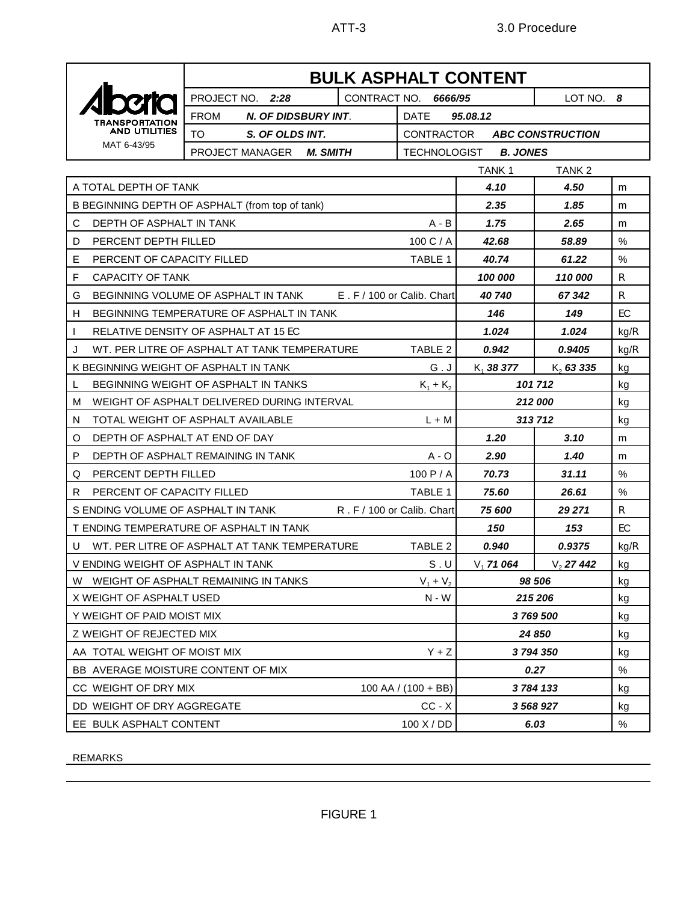

# **BULK ASPHALT CONTENT** PROJECT NO. *2:28* CONTRACT NO. *6666/95* LOT NO. *8* FROM *N. OF DIDSBURY INT*. DATE *95.08.12* TO *S. OF OLDS INT.* CONTRACTOR *ABC CONSTRUCTION* PROJECT MANAGER *M. SMITH* TECHNOLOGIST *B. JONES* TANK 1 TANK 2 A TOTAL DEPTH OF TANK *4.10 4.50* m B BEGINNING DEPTH OF ASPHALT (from top of tank) **1.85 1.85** m C DEPTH OF ASPHALT IN TANK **A** - B **1.75 2.65** m D PERCENT DEPTH FILLED 100 C / A *42.68 58.89* % E PERCENT OF CAPACITY FILLED TABLE 1 *40.74 61.22* % F CAPACITY OF TANK *100 000 110 000* R G BEGINNING VOLUME OF ASPHALT IN TANK  $E.F/100$  or Calib. Chart **40 740** 67 342 R H BEGINNING TEMPERATURE OF ASPHALT IN TANK *146 149* EC RELATIVE DENSITY OF ASPHALT AT 15 EC **1.024 1.024** kg/R J WT. PER LITRE OF ASPHALT AT TANK TEMPERATURE TABLE 2 *0.942 0.9405* kg/R K BEGINNING WEIGHT OF ASPHALT IN TANK  $G \cup \begin{bmatrix} K_1 \\ 38 \\ 37 \end{bmatrix}$  *38 377* K<sup>2</sup> *63 335* kg BEGINNING WEIGHT OF ASPHALT IN TANKS  $K_1 + K_2$ 101 712 kg M WEIGHT OF ASPHALT DELIVERED DURING INTERVAL **1999 12 12 12 12 12 000** kg N TOTAL WEIGHT OF ASPHALT AVAILABLE L + M *313 712* kg O DEPTH OF ASPHALT AT END OF DAY **1.20 1.20 1.20 1.3.10** m P DEPTH OF ASPHALT REMAINING IN TANK  $A \cdot 0$  2.90  $1.40$  m Q PERCENT DEPTH FILLED 100 P / A **70.73 31.11 1**% R PERCENT OF CAPACITY FILLED TABLE 1 75.60 26.61 % S ENDING VOLUME OF ASPHALT IN TANK R. F / 100 or Calib. Chart **75 600 29 271** R T ENDING TEMPERATURE OF ASPHALT IN TANK *150 153* EC U WT. PER LITRE OF ASPHALT AT TANK TEMPERATURE TABLE 2 *0.940 0.9375* kg/R V ENDING WEIGHT OF ASPHALT IN TANK SUNDAY S . U V<sub>1</sub> **71 064** V<sub>2</sub> **27 442** kg W WEIGHT OF ASPHALT REMAINING IN TANKS  $V_1 + V_2$  + V<sup>2</sup> *98 506* kg X WEIGHT OF ASPHALT USED **N** - W - W - W - W - 215 206 kg Y WEIGHT OF PAID MOIST MIX *3 769 500* kg Z WEIGHT OF REJECTED MIX **24 850** kg AA TOTAL WEIGHT OF MOIST MIX **A FORD ASSAULT A** STATE AND **3794 350** kg BB AVERAGE MOISTURE CONTENT OF MIX *0.27* % CC WEIGHT OF DRY MIX **100 AA** / (100 + BB) **3784 133** kg DD WEIGHT OF DRY AGGREGATE CC - X *3 568 927* kg

REMARKS

EE BULK ASPHALT CONTENT **100 X** / DD **6.03** 8.03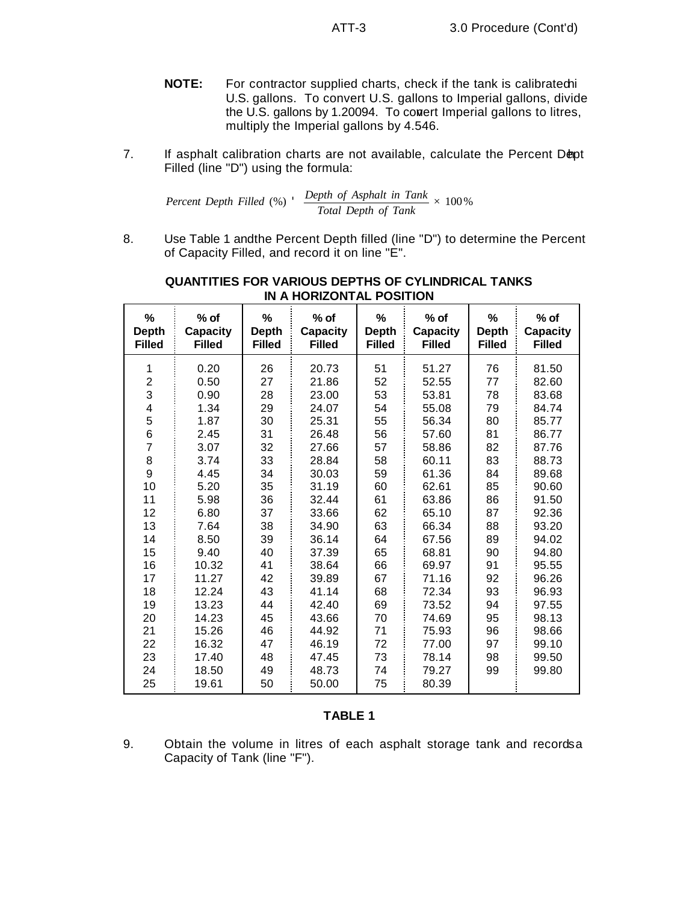- **NOTE:** For contractor supplied charts, check if the tank is calibrated i U.S. gallons. To convert U.S. gallons to Imperial gallons, divide the U.S. gallons by 1.20094. To contert Imperial gallons to litres, multiply the Imperial gallons by 4.546.
- 7. If asphalt calibration charts are not available, calculate the Percent Dept Filled (line "D") using the formula:

Percent Depth Filled (%) 
$$
\frac{Depth\ of\ Asphalt\ in\ Tank}{Total\ Depth\ of\ Tank} \times 100\%
$$

8. Use Table 1 and the Percent Depth filled (line "D") to determine the Percent of Capacity Filled, and record it on line "E".

| %<br><b>Depth</b><br><b>Filled</b> | $%$ of<br><b>Capacity</b><br><b>Filled</b> | %<br><b>Depth</b><br><b>Filled</b> | $%$ of<br><b>Capacity</b><br><b>Filled</b> | %<br><b>Depth</b><br><b>Filled</b> | % of<br><b>Capacity</b><br><b>Filled</b> | %<br><b>Depth</b><br><b>Filled</b> | $%$ of<br><b>Capacity</b><br><b>Filled</b> |
|------------------------------------|--------------------------------------------|------------------------------------|--------------------------------------------|------------------------------------|------------------------------------------|------------------------------------|--------------------------------------------|
| 1                                  | 0.20                                       | 26                                 | 20.73                                      | 51                                 | 51.27                                    | 76                                 | 81.50                                      |
| $\overline{c}$                     | 0.50                                       | 27                                 | 21.86                                      | 52                                 | 52.55                                    | 77                                 | 82.60                                      |
| 3                                  | 0.90                                       | 28                                 | 23.00                                      | 53                                 | 53.81                                    | 78                                 | 83.68                                      |
| $\overline{\mathbf{4}}$            | 1.34                                       | 29                                 | 24.07                                      | 54                                 | 55.08                                    | 79                                 | 84.74                                      |
| 5                                  | 1.87                                       | 30                                 | 25.31                                      | 55                                 | 56.34                                    | 80                                 | 85.77                                      |
| 6                                  | 2.45                                       | 31                                 | 26.48                                      | 56                                 | 57.60                                    | 81                                 | 86.77                                      |
| 7                                  | 3.07                                       | 32                                 | 27.66                                      | 57                                 | 58.86                                    | 82                                 | 87.76                                      |
| 8                                  | 3.74                                       | 33                                 | 28.84                                      | 58                                 | 60.11                                    | 83                                 | 88.73                                      |
| 9                                  | 4.45                                       | 34                                 | 30.03                                      | 59                                 | 61.36                                    | 84                                 | 89.68                                      |
| 10                                 | 5.20                                       | 35                                 | 31.19                                      | 60                                 | 62.61                                    | 85                                 | 90.60                                      |
| 11                                 | 5.98                                       | 36                                 | 32.44                                      | 61                                 | 63.86                                    | 86                                 | 91.50                                      |
| 12                                 | 6.80                                       | 37                                 | 33.66                                      | 62                                 | 65.10                                    | 87                                 | 92.36                                      |
| 13                                 | 7.64                                       | 38                                 | 34.90                                      | 63                                 | 66.34                                    | 88                                 | 93.20                                      |
| 14                                 | 8.50                                       | 39                                 | 36.14                                      | 64                                 | 67.56                                    | 89                                 | 94.02                                      |
| 15                                 | 9.40                                       | 40                                 | 37.39                                      | 65                                 | 68.81                                    | 90                                 | 94.80                                      |
| 16                                 | 10.32                                      | 41                                 | 38.64                                      | 66                                 | 69.97                                    | 91                                 | 95.55                                      |
| 17                                 | 11.27                                      | 42                                 | 39.89                                      | 67                                 | 71.16                                    | 92                                 | 96.26                                      |
| 18                                 | 12.24                                      | 43                                 | 41.14                                      | 68                                 | 72.34                                    | 93                                 | 96.93                                      |
| 19                                 | 13.23                                      | 44                                 | 42.40                                      | 69                                 | 73.52                                    | 94                                 | 97.55                                      |
| 20                                 | 14.23                                      | 45                                 | 43.66                                      | 70                                 | 74.69                                    | 95                                 | 98.13                                      |
| 21                                 | 15.26                                      | 46                                 | 44.92                                      | 71                                 | 75.93                                    | 96                                 | 98.66                                      |
| 22                                 | 16.32                                      | 47                                 | 46.19                                      | 72                                 | 77.00                                    | 97                                 | 99.10                                      |
| 23                                 | 17.40                                      | 48                                 | 47.45                                      | 73                                 | 78.14                                    | 98                                 | 99.50                                      |
| 24                                 | 18.50                                      | 49                                 | 48.73                                      | 74                                 | 79.27                                    | 99                                 | 99.80                                      |
| 25                                 | 19.61                                      | 50                                 | 50.00                                      | 75                                 | 80.39                                    |                                    |                                            |

# **QUANTITIES FOR VARIOUS DEPTHS OF CYLINDRICAL TANKS IN A HORIZONTAL POSITION**

### **TABLE 1**

9. Obtain the volume in litres of each asphalt storage tank and recordsa Capacity of Tank (line "F").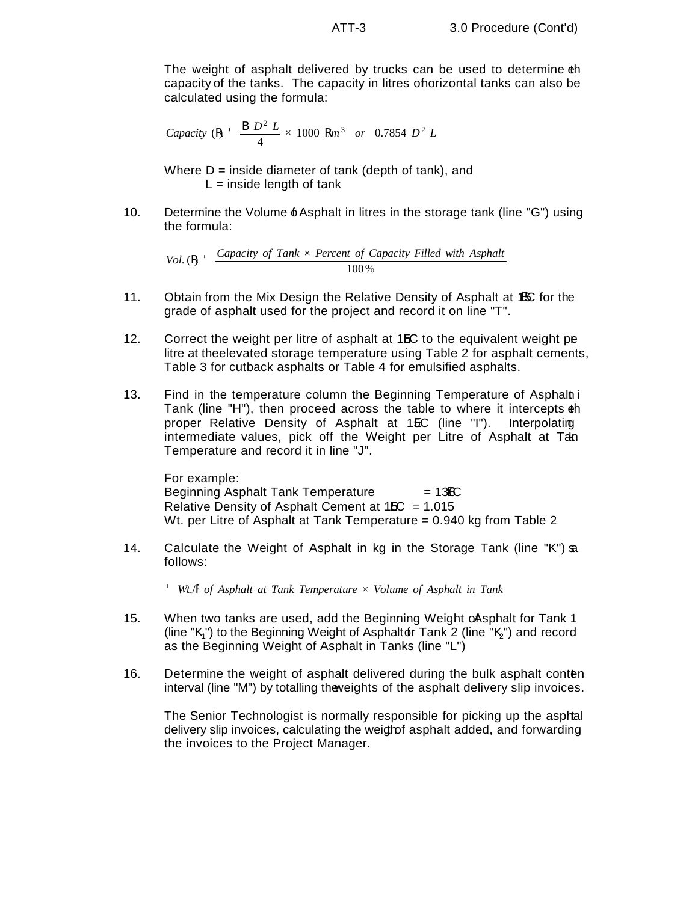The weight of asphalt delivered by trucks can be used to determine the capacity of the tanks. The capacity in litres of horizontal tanks can also be calculated using the formula:

*Capacity* (**R**) 
$$
\frac{B D^2 L}{4} \times 1000 Rm^3
$$
 or 0.7854  $D^2 L$ 

Where  $D =$  inside diameter of tank (depth of tank), and  $L =$  inside length of tank

10. Determine the Volume  $\delta$  Asphalt in litres in the storage tank (line "G") using the formula:

*Vol.* ( $\mathsf{R}$ )  $\cdot$  *Capacity of Tank*  $\times$  *Percent of Capacity Filled with Asphalt* 100%

- 11. Obtain from the Mix Design the Relative Density of Asphalt at 15C for the grade of asphalt used for the project and record it on line "T".
- 12. Correct the weight per litre of asphalt at 1**EC** to the equivalent weight pe litre at the elevated storage temperature using Table 2 for asphalt cements, Table 3 for cutback asphalts or Table 4 for emulsified asphalts.
- 13. Find in the temperature column the Beginning Temperature of Asphalni Tank (line "H"), then proceed across the table to where it intercepts the proper Relative Density of Asphalt at 15C (line "I"). Interpolating intermediate values, pick off the Weight per Litre of Asphalt at Tan Temperature and record it in line "J".

For example: Beginning Asphalt Tank Temperature  $= 136C$ Relative Density of Asphalt Cement at  $15C = 1.015$ Wt. per Litre of Asphalt at Tank Temperature = 0.940 kg from Table 2

14. Calculate the Weight of Asphalt in kg in the Storage Tank (line "K") as follows:

' *Wt*./R *of Asphalt at Tank Temperature* × *Volume of Asphalt in Tank*

- 15. When two tanks are used, add the Beginning Weight of Asphalt for Tank 1 (line "K<sub>1</sub>") to the Beginning Weight of Asphaltor Tank 2 (line "K<sub>2</sub>") and record as the Beginning Weight of Asphalt in Tanks (line "L")
- 16. Determine the weight of asphalt delivered during the bulk asphalt content interval (line "M") by totalling the weights of the asphalt delivery slip invoices.

The Senior Technologist is normally responsible for picking up the asphal delivery slip invoices, calculating the weigh of asphalt added, and forwarding the invoices to the Project Manager.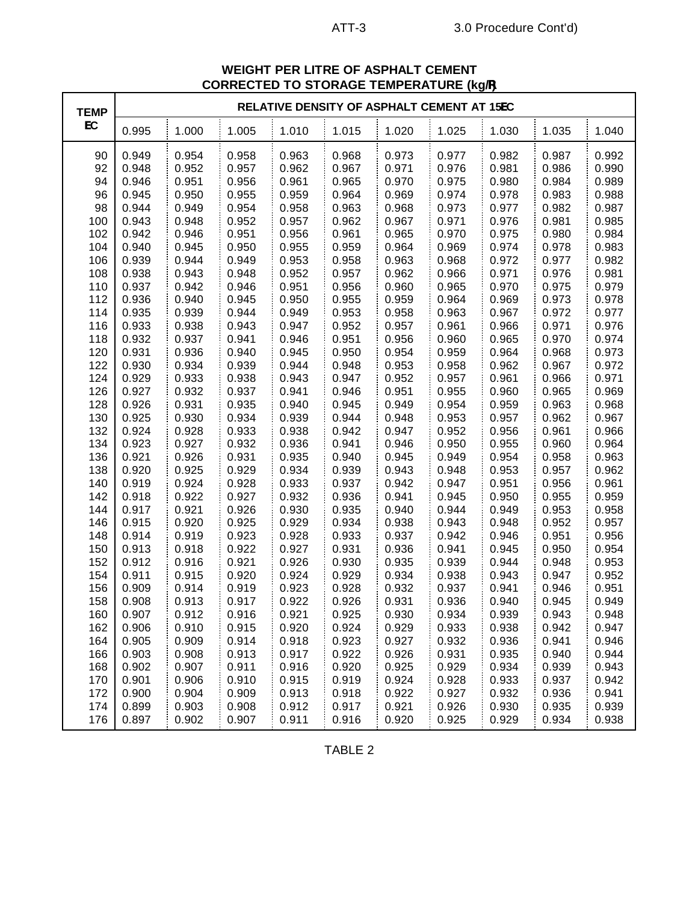| <b>TEMP</b> | <b>ILIIII</b> LIVATUNE (NYIY<br>RELATIVE DENSITY OF ASPHALT CEMENT AT 15EC |       |       |       |       |       |       |       |       |       |
|-------------|----------------------------------------------------------------------------|-------|-------|-------|-------|-------|-------|-------|-------|-------|
| EC          | 0.995                                                                      | 1.000 | 1.005 | 1.010 | 1.015 | 1.020 | 1.025 | 1.030 | 1.035 | 1.040 |
| 90          | 0.949                                                                      | 0.954 | 0.958 | 0.963 | 0.968 | 0.973 | 0.977 | 0.982 | 0.987 | 0.992 |
| 92          | 0.948                                                                      | 0.952 | 0.957 | 0.962 | 0.967 | 0.971 | 0.976 | 0.981 | 0.986 | 0.990 |
| 94          | 0.946                                                                      | 0.951 | 0.956 | 0.961 | 0.965 | 0.970 | 0.975 | 0.980 | 0.984 | 0.989 |
| 96          | 0.945                                                                      | 0.950 | 0.955 | 0.959 | 0.964 | 0.969 | 0.974 | 0.978 | 0.983 | 0.988 |
| 98          | 0.944                                                                      | 0.949 | 0.954 | 0.958 | 0.963 | 0.968 | 0.973 | 0.977 | 0.982 | 0.987 |
| 100         | 0.943                                                                      | 0.948 | 0.952 | 0.957 | 0.962 | 0.967 | 0.971 | 0.976 | 0.981 | 0.985 |
| 102         | 0.942                                                                      | 0.946 | 0.951 | 0.956 | 0.961 | 0.965 | 0.970 | 0.975 | 0.980 | 0.984 |
| 104         | 0.940                                                                      | 0.945 | 0.950 | 0.955 | 0.959 | 0.964 | 0.969 | 0.974 | 0.978 | 0.983 |
| 106         | 0.939                                                                      | 0.944 | 0.949 | 0.953 | 0.958 | 0.963 | 0.968 | 0.972 | 0.977 | 0.982 |
| 108         | 0.938                                                                      | 0.943 | 0.948 | 0.952 | 0.957 | 0.962 | 0.966 | 0.971 | 0.976 | 0.981 |
| 110         | 0.937                                                                      | 0.942 | 0.946 | 0.951 | 0.956 | 0.960 | 0.965 | 0.970 | 0.975 | 0.979 |
| 112         | 0.936                                                                      | 0.940 | 0.945 | 0.950 | 0.955 | 0.959 | 0.964 | 0.969 | 0.973 | 0.978 |
| 114         | 0.935                                                                      | 0.939 | 0.944 | 0.949 | 0.953 | 0.958 | 0.963 | 0.967 | 0.972 | 0.977 |
| 116         | 0.933                                                                      | 0.938 | 0.943 | 0.947 | 0.952 | 0.957 | 0.961 | 0.966 | 0.971 | 0.976 |
| 118         | 0.932                                                                      | 0.937 | 0.941 | 0.946 | 0.951 | 0.956 | 0.960 | 0.965 | 0.970 | 0.974 |
| 120         | 0.931                                                                      | 0.936 | 0.940 | 0.945 | 0.950 | 0.954 | 0.959 | 0.964 | 0.968 | 0.973 |
| 122         | 0.930                                                                      | 0.934 | 0.939 | 0.944 | 0.948 | 0.953 | 0.958 | 0.962 | 0.967 | 0.972 |
| 124         | 0.929                                                                      | 0.933 | 0.938 | 0.943 | 0.947 | 0.952 | 0.957 | 0.961 | 0.966 | 0.971 |
| 126         | 0.927                                                                      | 0.932 | 0.937 | 0.941 | 0.946 | 0.951 | 0.955 | 0.960 | 0.965 | 0.969 |
| 128         | 0.926                                                                      | 0.931 | 0.935 | 0.940 | 0.945 | 0.949 | 0.954 | 0.959 | 0.963 | 0.968 |
| 130         | 0.925                                                                      | 0.930 | 0.934 | 0.939 | 0.944 | 0.948 | 0.953 | 0.957 | 0.962 | 0.967 |
| 132         | 0.924                                                                      | 0.928 | 0.933 | 0.938 | 0.942 | 0.947 | 0.952 | 0.956 | 0.961 | 0.966 |
| 134         | 0.923                                                                      | 0.927 | 0.932 | 0.936 | 0.941 | 0.946 | 0.950 | 0.955 | 0.960 | 0.964 |
| 136         | 0.921                                                                      | 0.926 | 0.931 | 0.935 | 0.940 | 0.945 | 0.949 | 0.954 | 0.958 | 0.963 |
| 138         | 0.920                                                                      | 0.925 | 0.929 | 0.934 | 0.939 | 0.943 | 0.948 | 0.953 | 0.957 | 0.962 |
| 140         | 0.919                                                                      | 0.924 | 0.928 | 0.933 | 0.937 | 0.942 | 0.947 | 0.951 | 0.956 | 0.961 |
| 142         | 0.918                                                                      | 0.922 | 0.927 | 0.932 | 0.936 | 0.941 | 0.945 | 0.950 | 0.955 | 0.959 |
| 144         | 0.917                                                                      | 0.921 | 0.926 | 0.930 | 0.935 | 0.940 | 0.944 | 0.949 | 0.953 | 0.958 |
| 146         | 0.915                                                                      | 0.920 | 0.925 | 0.929 | 0.934 | 0.938 | 0.943 | 0.948 | 0.952 | 0.957 |
| 148         | 0.914                                                                      | 0.919 | 0.923 | 0.928 | 0.933 | 0.937 | 0.942 | 0.946 | 0.951 | 0.956 |
| 150         | 0.913                                                                      | 0.918 | 0.922 | 0.927 | 0.931 | 0.936 | 0.941 | 0.945 | 0.950 | 0.954 |
| 152         | 0.912                                                                      | 0.916 | 0.921 | 0.926 | 0.930 | 0.935 | 0.939 | 0.944 | 0.948 | 0.953 |
| 154         | 0.911                                                                      | 0.915 | 0.920 | 0.924 | 0.929 | 0.934 | 0.938 | 0.943 | 0.947 | 0.952 |
| 156         | 0.909                                                                      | 0.914 | 0.919 | 0.923 | 0.928 | 0.932 | 0.937 | 0.941 | 0.946 | 0.951 |
| 158         | 0.908                                                                      | 0.913 | 0.917 | 0.922 | 0.926 | 0.931 | 0.936 | 0.940 | 0.945 | 0.949 |
| 160         | 0.907                                                                      | 0.912 | 0.916 | 0.921 | 0.925 | 0.930 | 0.934 | 0.939 | 0.943 | 0.948 |
| 162         | 0.906                                                                      | 0.910 | 0.915 | 0.920 | 0.924 | 0.929 | 0.933 | 0.938 | 0.942 | 0.947 |
| 164         | 0.905                                                                      | 0.909 | 0.914 | 0.918 | 0.923 | 0.927 | 0.932 | 0.936 | 0.941 | 0.946 |
| 166         | 0.903                                                                      | 0.908 | 0.913 | 0.917 | 0.922 | 0.926 | 0.931 | 0.935 | 0.940 | 0.944 |
| 168         | 0.902                                                                      | 0.907 | 0.911 | 0.916 | 0.920 | 0.925 | 0.929 | 0.934 | 0.939 | 0.943 |
| 170         | 0.901                                                                      | 0.906 | 0.910 | 0.915 | 0.919 | 0.924 | 0.928 | 0.933 | 0.937 | 0.942 |
| 172         | 0.900                                                                      | 0.904 | 0.909 | 0.913 | 0.918 | 0.922 | 0.927 | 0.932 | 0.936 | 0.941 |
| 174         | 0.899                                                                      | 0.903 | 0.908 | 0.912 | 0.917 | 0.921 | 0.926 | 0.930 | 0.935 | 0.939 |
| 176         | 0.897                                                                      | 0.902 | 0.907 | 0.911 | 0.916 | 0.920 | 0.925 | 0.929 | 0.934 | 0.938 |

# **WEIGHT PER LITRE OF ASPHALT CEMENT CORRECTED TO STORAGE TEMPERATURE (kg/R)**

TABLE 2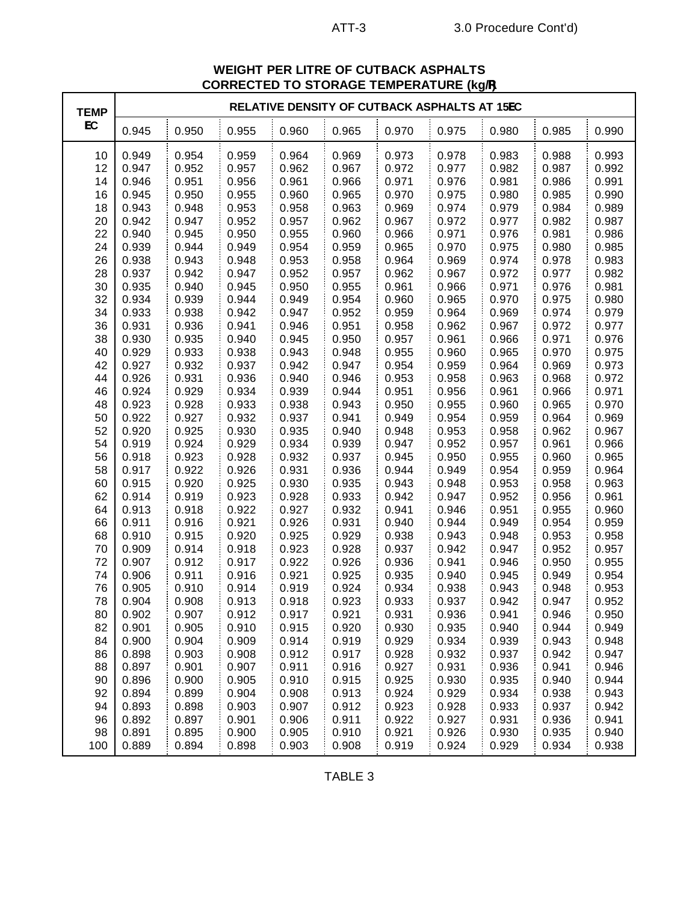| <b>TEMP</b> | RELATIVE DENSITY OF CUTBACK ASPHALTS AT 15EC |       |       |       |       |       |       |       |       |       |
|-------------|----------------------------------------------|-------|-------|-------|-------|-------|-------|-------|-------|-------|
| EC          | 0.945                                        | 0.950 | 0.955 | 0.960 | 0.965 | 0.970 | 0.975 | 0.980 | 0.985 | 0.990 |
| 10          | 0.949                                        | 0.954 | 0.959 | 0.964 | 0.969 | 0.973 | 0.978 | 0.983 | 0.988 | 0.993 |
| 12          | 0.947                                        | 0.952 | 0.957 | 0.962 | 0.967 | 0.972 | 0.977 | 0.982 | 0.987 | 0.992 |
| 14          | 0.946                                        | 0.951 | 0.956 | 0.961 | 0.966 | 0.971 | 0.976 | 0.981 | 0.986 | 0.991 |
| 16          | 0.945                                        | 0.950 | 0.955 | 0.960 | 0.965 | 0.970 | 0.975 | 0.980 | 0.985 | 0.990 |
| 18          | 0.943                                        | 0.948 | 0.953 | 0.958 | 0.963 | 0.969 | 0.974 | 0.979 | 0.984 | 0.989 |
| 20          | 0.942                                        | 0.947 | 0.952 | 0.957 | 0.962 | 0.967 | 0.972 | 0.977 | 0.982 | 0.987 |
| 22          | 0.940                                        | 0.945 | 0.950 | 0.955 | 0.960 | 0.966 | 0.971 | 0.976 | 0.981 | 0.986 |
| 24          | 0.939                                        | 0.944 | 0.949 | 0.954 | 0.959 | 0.965 | 0.970 | 0.975 | 0.980 | 0.985 |
| 26          | 0.938                                        | 0.943 | 0.948 | 0.953 | 0.958 | 0.964 | 0.969 | 0.974 | 0.978 | 0.983 |
| 28          | 0.937                                        | 0.942 | 0.947 | 0.952 | 0.957 | 0.962 | 0.967 | 0.972 | 0.977 | 0.982 |
| 30          | 0.935                                        | 0.940 | 0.945 | 0.950 | 0.955 | 0.961 | 0.966 | 0.971 | 0.976 | 0.981 |
| 32          | 0.934                                        | 0.939 | 0.944 | 0.949 | 0.954 | 0.960 | 0.965 | 0.970 | 0.975 | 0.980 |
| 34          | 0.933                                        | 0.938 | 0.942 | 0.947 | 0.952 | 0.959 | 0.964 | 0.969 | 0.974 | 0.979 |
| 36          | 0.931                                        | 0.936 | 0.941 | 0.946 | 0.951 | 0.958 | 0.962 | 0.967 | 0.972 | 0.977 |
| 38          | 0.930                                        | 0.935 | 0.940 | 0.945 | 0.950 | 0.957 | 0.961 | 0.966 | 0.971 | 0.976 |
| 40          | 0.929                                        | 0.933 | 0.938 | 0.943 | 0.948 | 0.955 | 0.960 | 0.965 | 0.970 | 0.975 |
| 42          | 0.927                                        | 0.932 | 0.937 | 0.942 | 0.947 | 0.954 | 0.959 | 0.964 | 0.969 | 0.973 |
| 44          | 0.926                                        | 0.931 | 0.936 | 0.940 | 0.946 | 0.953 | 0.958 | 0.963 | 0.968 | 0.972 |
| 46          | 0.924                                        | 0.929 | 0.934 | 0.939 | 0.944 | 0.951 | 0.956 | 0.961 | 0.966 | 0.971 |
| 48          | 0.923                                        | 0.928 | 0.933 | 0.938 | 0.943 | 0.950 | 0.955 | 0.960 | 0.965 | 0.970 |
| 50          | 0.922                                        | 0.927 | 0.932 | 0.937 | 0.941 | 0.949 | 0.954 | 0.959 | 0.964 | 0.969 |
| 52          | 0.920                                        | 0.925 | 0.930 | 0.935 | 0.940 | 0.948 | 0.953 | 0.958 | 0.962 | 0.967 |
| 54          | 0.919                                        | 0.924 | 0.929 | 0.934 | 0.939 | 0.947 | 0.952 | 0.957 | 0.961 | 0.966 |
| 56          | 0.918                                        | 0.923 | 0.928 | 0.932 | 0.937 | 0.945 | 0.950 | 0.955 | 0.960 | 0.965 |
| 58          | 0.917                                        | 0.922 | 0.926 | 0.931 | 0.936 | 0.944 | 0.949 | 0.954 | 0.959 | 0.964 |
| 60          | 0.915                                        | 0.920 | 0.925 | 0.930 | 0.935 | 0.943 | 0.948 | 0.953 | 0.958 | 0.963 |
| 62          | 0.914                                        | 0.919 | 0.923 | 0.928 | 0.933 | 0.942 | 0.947 | 0.952 | 0.956 | 0.961 |
| 64          | 0.913                                        | 0.918 | 0.922 | 0.927 | 0.932 | 0.941 | 0.946 | 0.951 | 0.955 | 0.960 |
| 66          | 0.911                                        | 0.916 | 0.921 | 0.926 | 0.931 | 0.940 | 0.944 | 0.949 | 0.954 | 0.959 |
| 68          | 0.910                                        | 0.915 | 0.920 | 0.925 | 0.929 | 0.938 | 0.943 | 0.948 | 0.953 | 0.958 |
| 70          | 0.909                                        | 0.914 | 0.918 | 0.923 | 0.928 | 0.937 | 0.942 | 0.947 | 0.952 | 0.957 |
| 72          | 0.907                                        | 0.912 | 0.917 | 0.922 | 0.926 | 0.936 | 0.941 | 0.946 | 0.950 | 0.955 |
| 74          | 0.906                                        | 0.911 | 0.916 | 0.921 | 0.925 | 0.935 | 0.940 | 0.945 | 0.949 | 0.954 |
| 76          | 0.905                                        | 0.910 | 0.914 | 0.919 | 0.924 | 0.934 | 0.938 | 0.943 | 0.948 | 0.953 |
| 78          | 0.904                                        | 0.908 | 0.913 | 0.918 | 0.923 | 0.933 | 0.937 | 0.942 | 0.947 | 0.952 |
| 80          | 0.902                                        | 0.907 | 0.912 | 0.917 | 0.921 | 0.931 | 0.936 | 0.941 | 0.946 | 0.950 |
| 82          | 0.901                                        | 0.905 | 0.910 | 0.915 | 0.920 | 0.930 | 0.935 | 0.940 | 0.944 | 0.949 |
| 84          | 0.900                                        | 0.904 | 0.909 | 0.914 | 0.919 | 0.929 | 0.934 | 0.939 | 0.943 | 0.948 |
| 86          | 0.898                                        | 0.903 | 0.908 | 0.912 | 0.917 | 0.928 | 0.932 | 0.937 | 0.942 | 0.947 |
| 88          | 0.897                                        | 0.901 | 0.907 | 0.911 | 0.916 | 0.927 | 0.931 | 0.936 | 0.941 | 0.946 |
| 90          | 0.896                                        | 0.900 | 0.905 | 0.910 | 0.915 | 0.925 | 0.930 | 0.935 | 0.940 | 0.944 |
| 92          | 0.894                                        | 0.899 | 0.904 | 0.908 | 0.913 | 0.924 | 0.929 | 0.934 | 0.938 | 0.943 |
| 94          | 0.893                                        | 0.898 | 0.903 | 0.907 | 0.912 | 0.923 | 0.928 | 0.933 | 0.937 | 0.942 |
| 96          | 0.892                                        | 0.897 | 0.901 | 0.906 | 0.911 | 0.922 | 0.927 | 0.931 | 0.936 | 0.941 |
| 98          | 0.891                                        | 0.895 | 0.900 | 0.905 | 0.910 | 0.921 | 0.926 | 0.930 | 0.935 | 0.940 |
| 100         | 0.889                                        | 0.894 | 0.898 | 0.903 | 0.908 | 0.919 | 0.924 | 0.929 | 0.934 | 0.938 |

# **WEIGHT PER LITRE OF CUTBACK ASPHALTS CORRECTED TO STORAGE TEMPERATURE (kg/R)**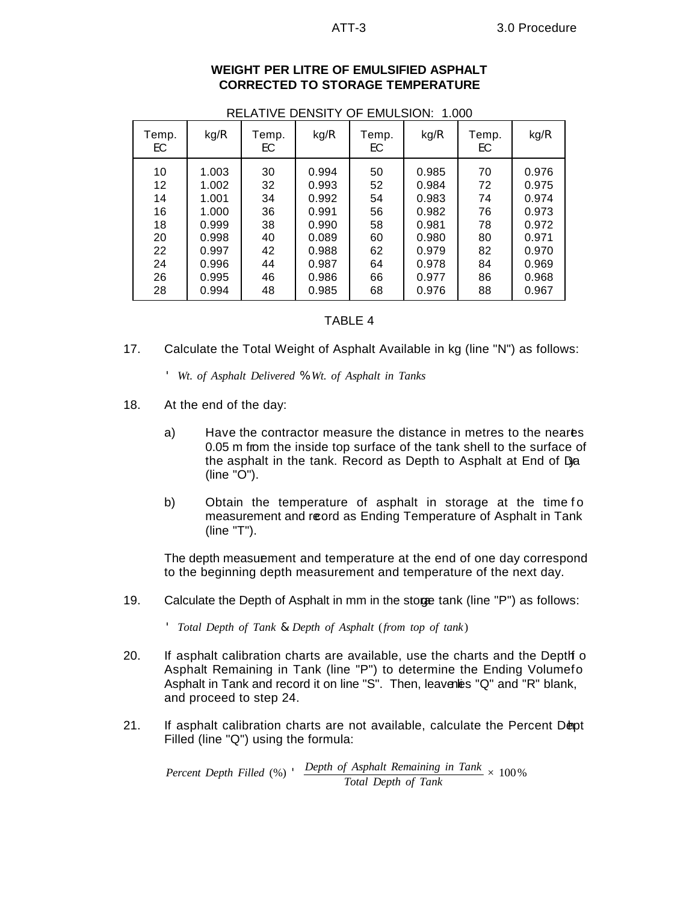| <b>WEIGHT PER LITRE OF EMULSIFIED ASPHALT</b> |
|-----------------------------------------------|
| <b>CORRECTED TO STORAGE TEMPERATURE</b>       |

| .<br>ັ<br>LIVIULUIVI.<br>v v v                           |                                                                                        |                                                          |                                                                                        |                                                          |                                                                                        |                                                          |                                                                                        |  |
|----------------------------------------------------------|----------------------------------------------------------------------------------------|----------------------------------------------------------|----------------------------------------------------------------------------------------|----------------------------------------------------------|----------------------------------------------------------------------------------------|----------------------------------------------------------|----------------------------------------------------------------------------------------|--|
| Temp.<br>EC.                                             | kg/R                                                                                   | Temp.<br>EC                                              | kg/R                                                                                   | Temp.<br>EC                                              | kg/R                                                                                   | Temp.<br>EC.                                             | kg/R                                                                                   |  |
| 10<br>12<br>14<br>16<br>18<br>20<br>22<br>24<br>26<br>28 | 1.003<br>1.002<br>1.001<br>1.000<br>0.999<br>0.998<br>0.997<br>0.996<br>0.995<br>0.994 | 30<br>32<br>34<br>36<br>38<br>40<br>42<br>44<br>46<br>48 | 0.994<br>0.993<br>0.992<br>0.991<br>0.990<br>0.089<br>0.988<br>0.987<br>0.986<br>0.985 | 50<br>52<br>54<br>56<br>58<br>60<br>62<br>64<br>66<br>68 | 0.985<br>0.984<br>0.983<br>0.982<br>0.981<br>0.980<br>0.979<br>0.978<br>0.977<br>0.976 | 70<br>72<br>74<br>76<br>78<br>80<br>82<br>84<br>86<br>88 | 0.976<br>0.975<br>0.974<br>0.973<br>0.972<br>0.971<br>0.970<br>0.969<br>0.968<br>0.967 |  |

RELATIVE DENSITY OF EMULSION: 1.000

### TABLE 4

17. Calculate the Total Weight of Asphalt Available in kg (line "N") as follows:

' *Wt*. *of Asphalt Delivered* % *Wt*. *of Asphalt in Tanks*

- 18. At the end of the day:
	- a) Have the contractor measure the distance in metres to the neares 0.05 m from the inside top surface of the tank shell to the surface of the asphalt in the tank. Record as Depth to Asphalt at End of Da (line "O").
	- b) Obtain the temperature of asphalt in storage at the time fo measurement and reord as Ending Temperature of Asphalt in Tank (line "T").

The depth measuement and temperature at the end of one day correspond to the beginning depth measurement and temperature of the next day.

19. Calculate the Depth of Asphalt in mm in the stoge tank (line "P") as follows:

' *Total Depth of Tank* & *Depth of Asphalt* (*from top of tank*)

- 20. If asphalt calibration charts are available, use the charts and the Depth of Asphalt Remaining in Tank (line "P") to determine the Ending Volumefo Asphalt in Tank and record it on line "S". Then, leavenes "Q" and "R" blank, and proceed to step 24.
- 21. If asphalt calibration charts are not available, calculate the Percent Dept Filled (line "Q") using the formula:

*Percent Depth Filled* (%) ' *Depth of Asphalt Remaining in Tank Total Depth of Tank* × 100%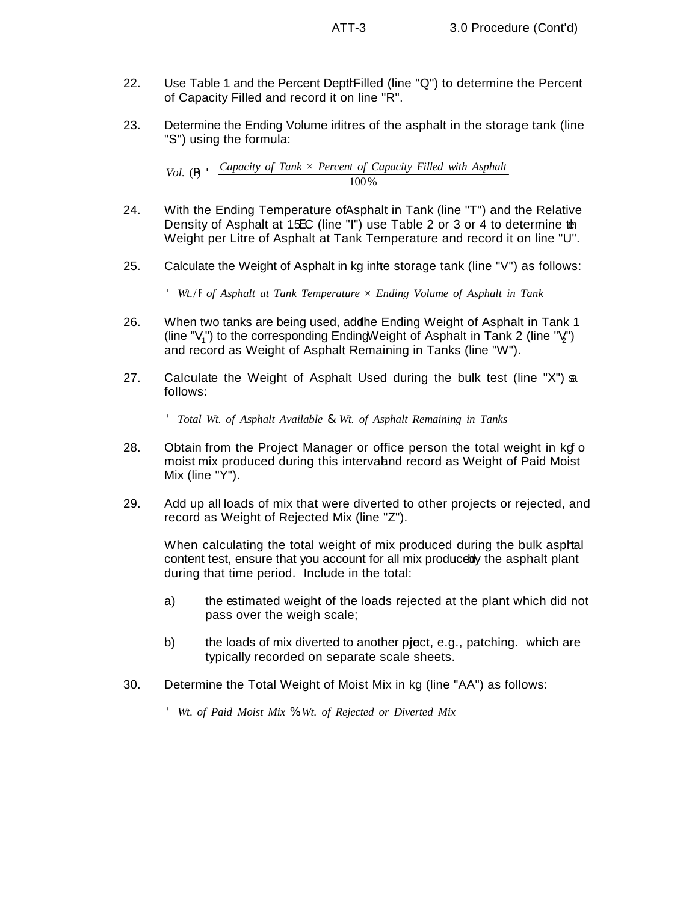- 22. Use Table 1 and the Percent Depth Filled (line "Q") to determine the Percent of Capacity Filled and record it on line "R".
- 23. Determine the Ending Volume in litres of the asphalt in the storage tank (line "S") using the formula:

*Vol.*  $(R)$  *Capacity of Tank*  $\times$  *Percent of Capacity Filled with Asphalt* 100%

- 24. With the Ending Temperature of Asphalt in Tank (line "T") and the Relative Density of Asphalt at 15EC (line "I") use Table 2 or 3 or 4 to determine the Weight per Litre of Asphalt at Tank Temperature and record it on line "U".
- 25. Calculate the Weight of Asphalt in kg inite storage tank (line "V") as follows:

' *Wt*./R *of Asphalt at Tank Temperature* × *Ending Volume of Asphalt in Tank*

- 26. When two tanks are being used, addhe Ending Weight of Asphalt in Tank 1 (line " $V_1$ ") to the corresponding Ending Weight of Asphalt in Tank 2 (line " $V_1$ ") and record as Weight of Asphalt Remaining in Tanks (line "W").
- 27. Calculate the Weight of Asphalt Used during the bulk test (line "X") as follows:

' *Total Wt*. *of Asphalt Available* & *Wt*. *of Asphalt Remaining in Tanks*

- 28. Obtain from the Project Manager or office person the total weight in kg of moist mix produced during this interval and record as Weight of Paid Moist Mix (line "Y").
- 29. Add up all loads of mix that were diverted to other projects or rejected, and record as Weight of Rejected Mix (line "Z").

When calculating the total weight of mix produced during the bulk asphal content test, ensure that you account for all mix produce by the asphalt plant during that time period. Include in the total:

- a) the estimated weight of the loads rejected at the plant which did not pass over the weigh scale;
- b) the loads of mix diverted to another proport, e.g., patching. which are typically recorded on separate scale sheets.
- 30. Determine the Total Weight of Moist Mix in kg (line "AA") as follows:
	- ' *Wt*. *of Paid Moist Mix* % *Wt*. *of Rejected or Diverted Mix*